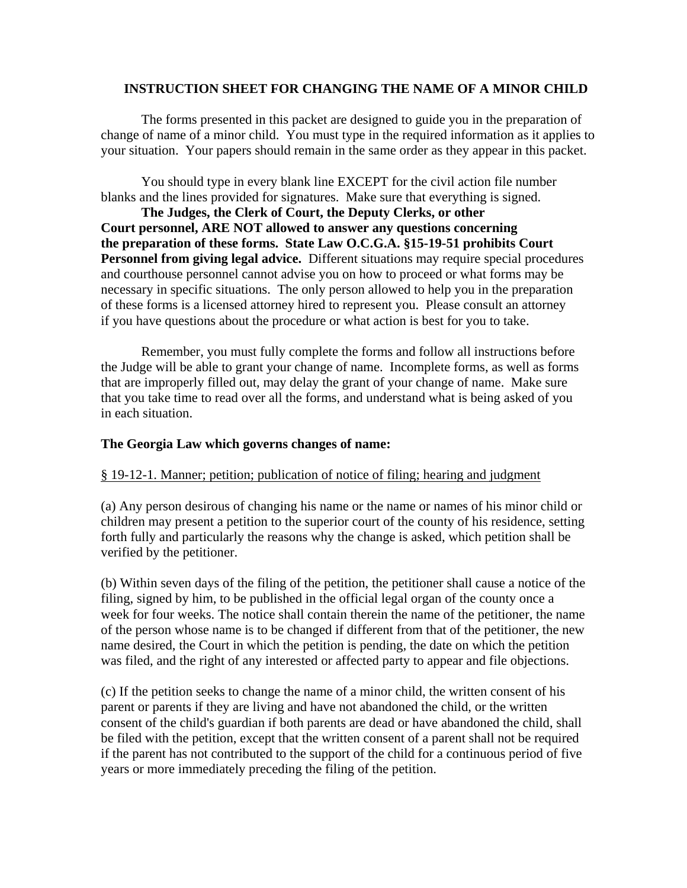## **INSTRUCTION SHEET FOR CHANGING THE NAME OF A MINOR CHILD**

The forms presented in this packet are designed to guide you in the preparation of change of name of a minor child. You must type in the required information as it applies to your situation. Your papers should remain in the same order as they appear in this packet.

 You should type in every blank line EXCEPT for the civil action file number blanks and the lines provided for signatures. Make sure that everything is signed.

 **The Judges, the Clerk of Court, the Deputy Clerks, or other Court personnel, ARE NOT allowed to answer any questions concerning the preparation of these forms. State Law O.C.G.A. §15-19-51 prohibits Court Personnel from giving legal advice.** Different situations may require special procedures and courthouse personnel cannot advise you on how to proceed or what forms may be necessary in specific situations. The only person allowed to help you in the preparation of these forms is a licensed attorney hired to represent you. Please consult an attorney if you have questions about the procedure or what action is best for you to take.

 Remember, you must fully complete the forms and follow all instructions before the Judge will be able to grant your change of name. Incomplete forms, as well as forms that are improperly filled out, may delay the grant of your change of name. Make sure that you take time to read over all the forms, and understand what is being asked of you in each situation.

## **The Georgia Law which governs changes of name:**

#### § 19-12-1. Manner; petition; publication of notice of filing; hearing and judgment

(a) Any person desirous of changing his name or the name or names of his minor child or children may present a petition to the superior court of the county of his residence, setting forth fully and particularly the reasons why the change is asked, which petition shall be verified by the petitioner.

(b) Within seven days of the filing of the petition, the petitioner shall cause a notice of the filing, signed by him, to be published in the official legal organ of the county once a week for four weeks. The notice shall contain therein the name of the petitioner, the name of the person whose name is to be changed if different from that of the petitioner, the new name desired, the Court in which the petition is pending, the date on which the petition was filed, and the right of any interested or affected party to appear and file objections.

(c) If the petition seeks to change the name of a minor child, the written consent of his parent or parents if they are living and have not abandoned the child, or the written consent of the child's guardian if both parents are dead or have abandoned the child, shall be filed with the petition, except that the written consent of a parent shall not be required if the parent has not contributed to the support of the child for a continuous period of five years or more immediately preceding the filing of the petition.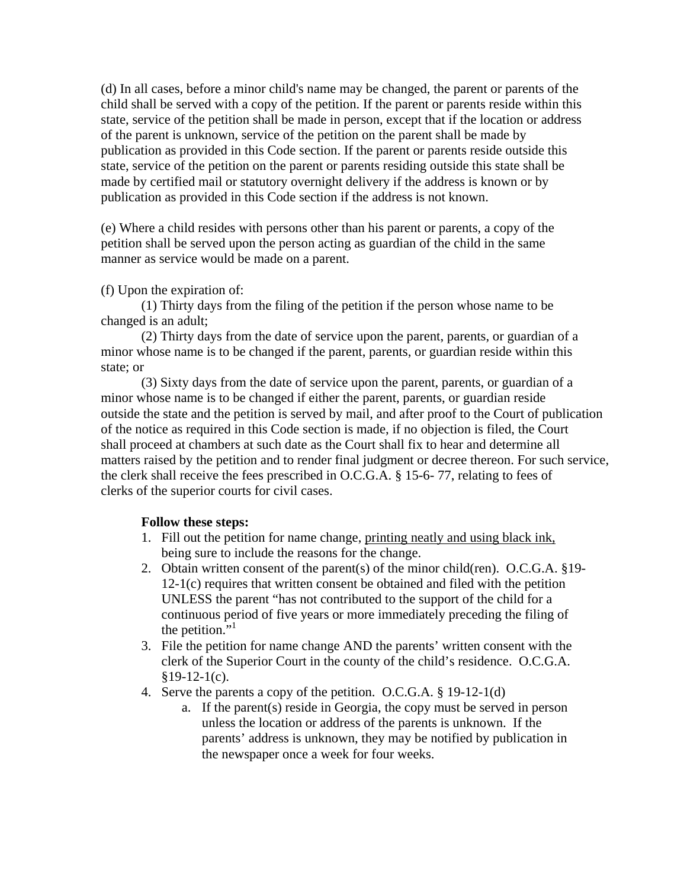(d) In all cases, before a minor child's name may be changed, the parent or parents of the child shall be served with a copy of the petition. If the parent or parents reside within this state, service of the petition shall be made in person, except that if the location or address of the parent is unknown, service of the petition on the parent shall be made by publication as provided in this Code section. If the parent or parents reside outside this state, service of the petition on the parent or parents residing outside this state shall be made by certified mail or statutory overnight delivery if the address is known or by publication as provided in this Code section if the address is not known.

(e) Where a child resides with persons other than his parent or parents, a copy of the petition shall be served upon the person acting as guardian of the child in the same manner as service would be made on a parent.

(f) Upon the expiration of:

(1) Thirty days from the filing of the petition if the person whose name to be changed is an adult;

(2) Thirty days from the date of service upon the parent, parents, or guardian of a minor whose name is to be changed if the parent, parents, or guardian reside within this state; or

(3) Sixty days from the date of service upon the parent, parents, or guardian of a minor whose name is to be changed if either the parent, parents, or guardian reside outside the state and the petition is served by mail, and after proof to the Court of publication of the notice as required in this Code section is made, if no objection is filed, the Court shall proceed at chambers at such date as the Court shall fix to hear and determine all matters raised by the petition and to render final judgment or decree thereon. For such service, the clerk shall receive the fees prescribed in O.C.G.A. § 15-6- 77, relating to fees of clerks of the superior courts for civil cases.

#### **Follow these steps:**

- 1. Fill out the petition for name change, printing neatly and using black ink, being sure to include the reasons for the change.
- 2. Obtain written consent of the parent(s) of the minor child(ren). O.C.G.A. §19- 12-1(c) requires that written consent be obtained and filed with the petition UNLESS the parent "has not contributed to the support of the child for a continuous period of five years or more immediately preceding the filing of the petition." $\cdot$ <sup>1</sup>
- 3. File the petition for name change AND the parents' written consent with the clerk of the Superior Court in the county of the child's residence. O.C.G.A.  $§19-12-1(c).$
- 4. Serve the parents a copy of the petition. O.C.G.A. § 19-12-1(d)
	- a. If the parent(s) reside in Georgia, the copy must be served in person unless the location or address of the parents is unknown. If the parents' address is unknown, they may be notified by publication in the newspaper once a week for four weeks.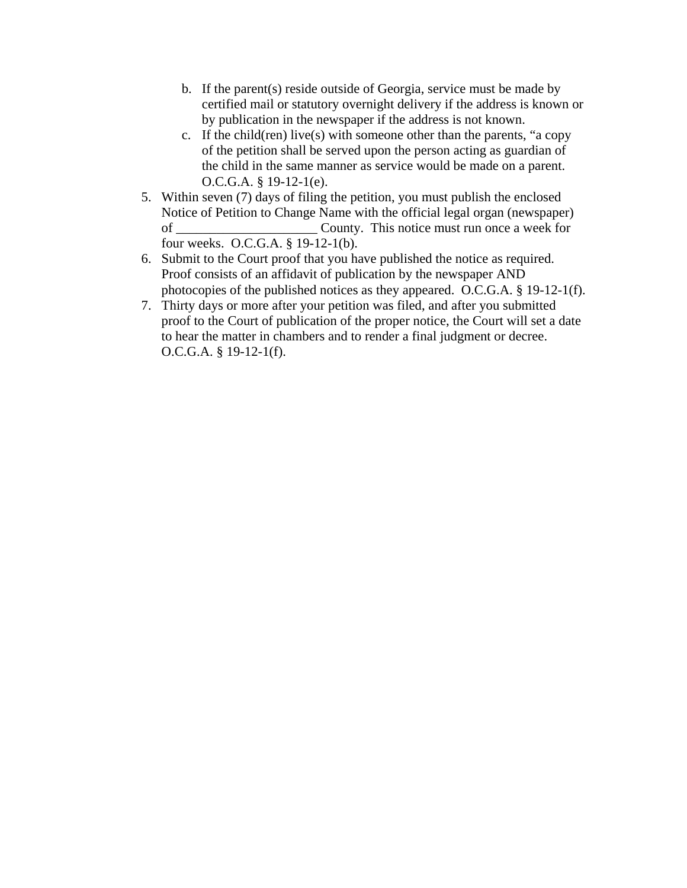- b. If the parent(s) reside outside of Georgia, service must be made by certified mail or statutory overnight delivery if the address is known or by publication in the newspaper if the address is not known.
- c. If the child(ren) live(s) with someone other than the parents, "a copy of the petition shall be served upon the person acting as guardian of the child in the same manner as service would be made on a parent. O.C.G.A. § 19-12-1(e).
- 5. Within seven (7) days of filing the petition, you must publish the enclosed Notice of Petition to Change Name with the official legal organ (newspaper) of \_\_\_\_\_\_\_\_\_\_\_\_\_\_\_\_\_\_\_\_\_ County. This notice must run once a week for four weeks. O.C.G.A. § 19-12-1(b).
- 6. Submit to the Court proof that you have published the notice as required. Proof consists of an affidavit of publication by the newspaper AND photocopies of the published notices as they appeared. O.C.G.A. § 19-12-1(f).
- 7. Thirty days or more after your petition was filed, and after you submitted proof to the Court of publication of the proper notice, the Court will set a date to hear the matter in chambers and to render a final judgment or decree. O.C.G.A. § 19-12-1(f).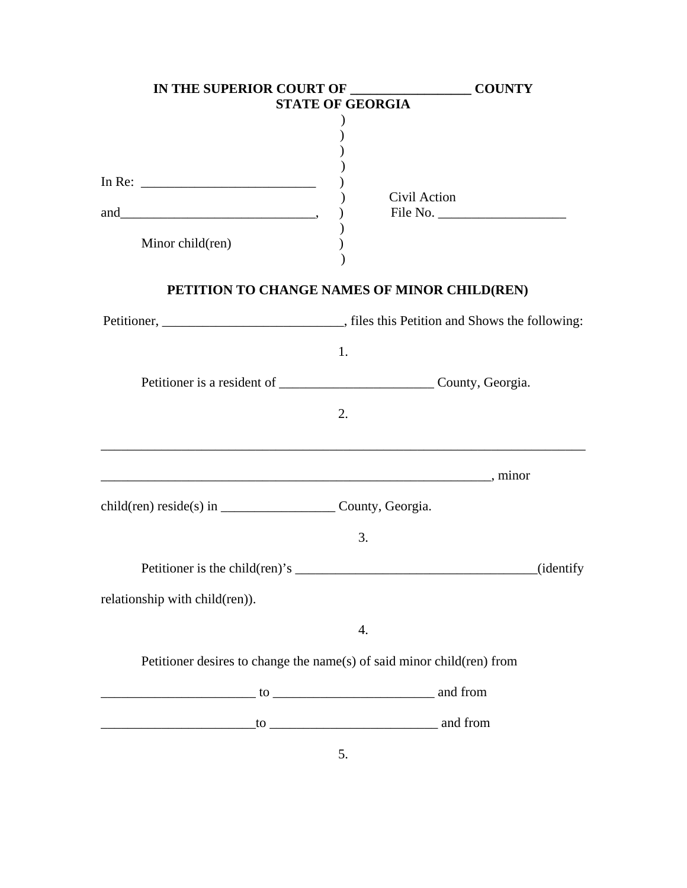| IN THE SUPERIOR COURT OF _______________________ COUNTY                |                         |  |  |
|------------------------------------------------------------------------|-------------------------|--|--|
|                                                                        | <b>STATE OF GEORGIA</b> |  |  |
|                                                                        |                         |  |  |
|                                                                        |                         |  |  |
|                                                                        |                         |  |  |
| In Re: $\frac{1}{2}$                                                   |                         |  |  |
|                                                                        | Civil Action            |  |  |
|                                                                        |                         |  |  |
|                                                                        |                         |  |  |
| Minor child(ren)                                                       |                         |  |  |
|                                                                        |                         |  |  |
| PETITION TO CHANGE NAMES OF MINOR CHILD(REN)                           |                         |  |  |
|                                                                        |                         |  |  |
|                                                                        | 1.                      |  |  |
|                                                                        |                         |  |  |
|                                                                        |                         |  |  |
|                                                                        |                         |  |  |
|                                                                        | 2.                      |  |  |
|                                                                        |                         |  |  |
|                                                                        |                         |  |  |
|                                                                        |                         |  |  |
|                                                                        |                         |  |  |
|                                                                        |                         |  |  |
|                                                                        | 3.                      |  |  |
|                                                                        |                         |  |  |
|                                                                        |                         |  |  |
| relationship with child(ren)).                                         |                         |  |  |
|                                                                        | 4.                      |  |  |
|                                                                        |                         |  |  |
| Petitioner desires to change the name(s) of said minor child(ren) from |                         |  |  |
| and from                                                               |                         |  |  |
|                                                                        |                         |  |  |
|                                                                        |                         |  |  |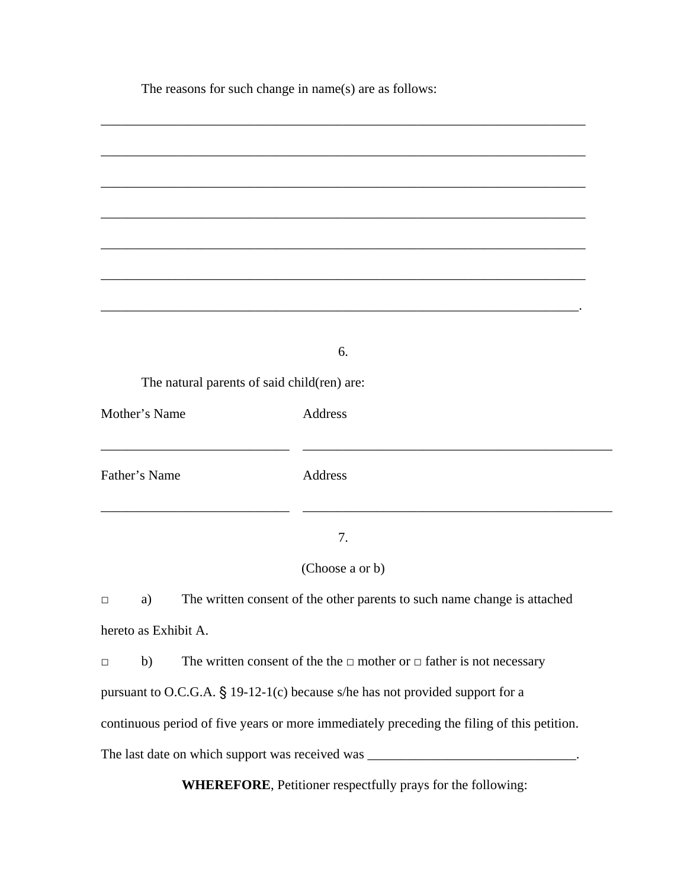The reasons for such change in name(s) are as follows:

| 6.      |                                                   |
|---------|---------------------------------------------------|
|         |                                                   |
| Address |                                                   |
|         |                                                   |
| Address |                                                   |
|         |                                                   |
|         |                                                   |
|         | The natural parents of said child(ren) are:<br>7. |

(Choose a or b)

□ a) The written consent of the other parents to such name change is attached hereto as Exhibit A.

 $\Box$  b) The written consent of the the  $\Box$  mother or  $\Box$  father is not necessary pursuant to O.C.G.A. § 19-12-1(c) because s/he has not provided support for a continuous period of five years or more immediately preceding the filing of this petition. The last date on which support was received was \_\_\_\_\_\_\_\_\_\_\_\_\_\_\_\_\_\_\_\_\_\_\_\_\_\_\_\_\_\_\_\_.

**WHEREFORE**, Petitioner respectfully prays for the following: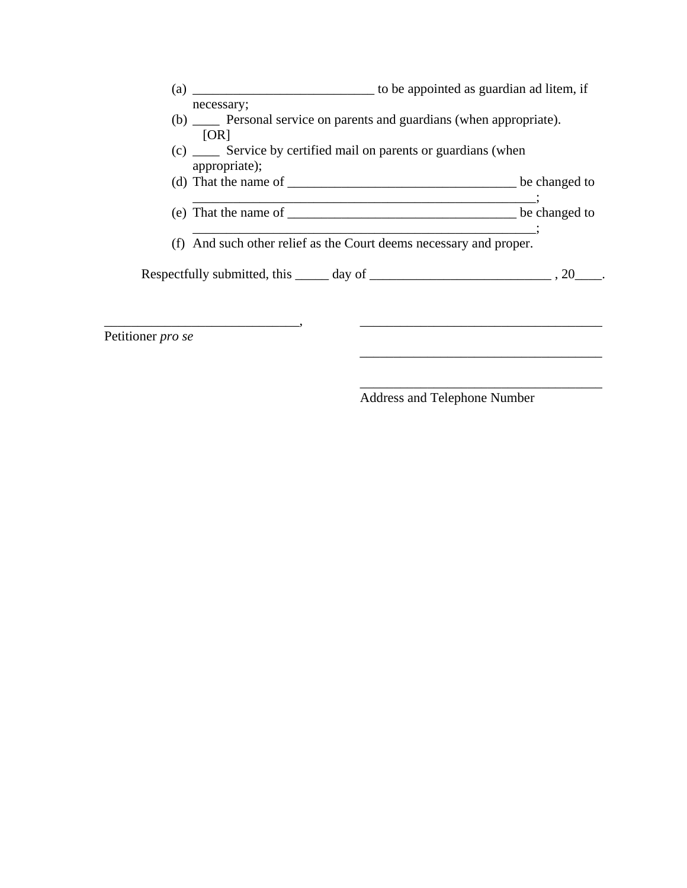| (a)               | to be appointed as guardian ad litem, if                                            |  |
|-------------------|-------------------------------------------------------------------------------------|--|
|                   | necessary;                                                                          |  |
|                   | (b) _____ Personal service on parents and guardians (when appropriate).             |  |
|                   | [OR]                                                                                |  |
|                   | (c) ______ Service by certified mail on parents or guardians (when<br>appropriate); |  |
|                   |                                                                                     |  |
|                   |                                                                                     |  |
|                   |                                                                                     |  |
|                   |                                                                                     |  |
|                   | (f) And such other relief as the Court deems necessary and proper.                  |  |
|                   |                                                                                     |  |
| Petitioner pro se |                                                                                     |  |

 \_\_\_\_\_\_\_\_\_\_\_\_\_\_\_\_\_\_\_\_\_\_\_\_\_\_\_\_\_\_\_\_\_\_\_\_ Address and Telephone Number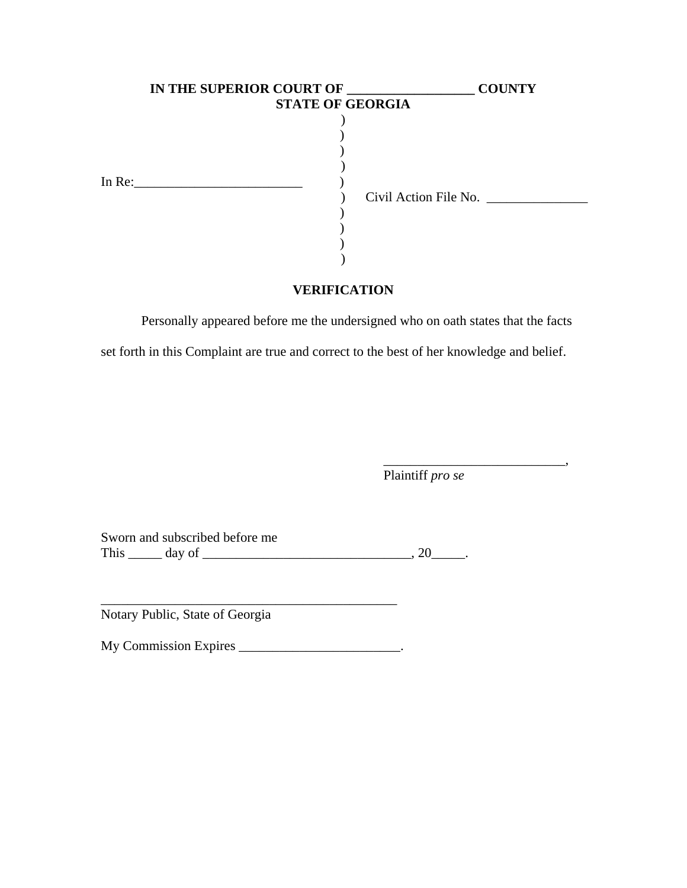|        | IN THE SUPERIOR COURT OF<br><b>STATE OF GEORGIA</b> | <b>COUNTY</b>         |
|--------|-----------------------------------------------------|-----------------------|
| In Re: |                                                     | Civil Action File No. |

# **VERIFICATION**

Personally appeared before me the undersigned who on oath states that the facts

set forth in this Complaint are true and correct to the best of her knowledge and belief.

Plaintiff *pro se*

\_\_\_\_\_\_\_\_\_\_\_\_\_\_\_\_\_\_\_\_\_\_\_\_\_\_\_,

Sworn and subscribed before me This \_\_\_\_\_ day of \_\_\_\_\_\_\_\_\_\_\_\_\_\_\_\_\_\_\_\_\_\_\_\_\_\_\_\_\_\_\_, 20\_\_\_\_\_.

\_\_\_\_\_\_\_\_\_\_\_\_\_\_\_\_\_\_\_\_\_\_\_\_\_\_\_\_\_\_\_\_\_\_\_\_\_\_\_\_\_\_\_\_ Notary Public, State of Georgia

My Commission Expires \_\_\_\_\_\_\_\_\_\_\_\_\_\_\_\_\_\_\_\_\_\_\_\_\_\_\_.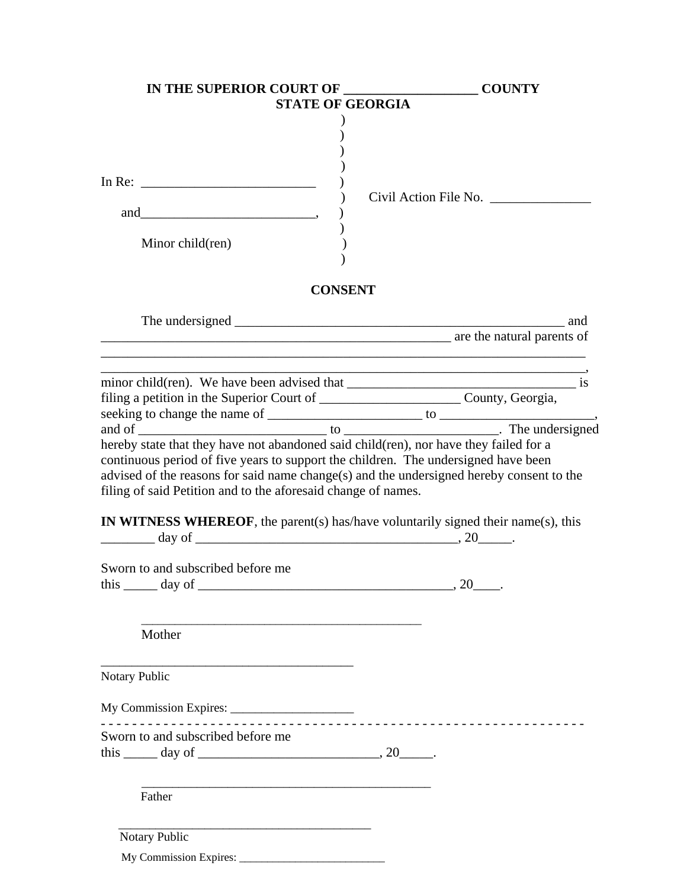| IN THE SUPERIOR COURT OF                                                                                                                                                                                                                                                                                                                                                                                                                                                                                                 |                         | <b>COUNTY</b>         |
|--------------------------------------------------------------------------------------------------------------------------------------------------------------------------------------------------------------------------------------------------------------------------------------------------------------------------------------------------------------------------------------------------------------------------------------------------------------------------------------------------------------------------|-------------------------|-----------------------|
|                                                                                                                                                                                                                                                                                                                                                                                                                                                                                                                          | <b>STATE OF GEORGIA</b> |                       |
| In Re: $\frac{1}{2}$<br>Minor child(ren)                                                                                                                                                                                                                                                                                                                                                                                                                                                                                 |                         | Civil Action File No. |
|                                                                                                                                                                                                                                                                                                                                                                                                                                                                                                                          | <b>CONSENT</b>          |                       |
|                                                                                                                                                                                                                                                                                                                                                                                                                                                                                                                          |                         |                       |
| are the natural parents of                                                                                                                                                                                                                                                                                                                                                                                                                                                                                               |                         |                       |
|                                                                                                                                                                                                                                                                                                                                                                                                                                                                                                                          |                         |                       |
| filing a petition in the Superior Court of ____________________________County, Georgia,<br>hereby state that they have not abandoned said child(ren), nor have they failed for a<br>continuous period of five years to support the children. The undersigned have been<br>advised of the reasons for said name change(s) and the undersigned hereby consent to the<br>filing of said Petition and to the aforesaid change of names.<br>IN WITNESS WHEREOF, the parent(s) has/have voluntarily signed their name(s), this |                         |                       |
| Sworn to and subscribed before me                                                                                                                                                                                                                                                                                                                                                                                                                                                                                        |                         |                       |
| this $\_\_\_\$ day of $\_\$                                                                                                                                                                                                                                                                                                                                                                                                                                                                                              |                         | 20                    |
| Mother                                                                                                                                                                                                                                                                                                                                                                                                                                                                                                                   |                         |                       |
| Notary Public                                                                                                                                                                                                                                                                                                                                                                                                                                                                                                            |                         |                       |
|                                                                                                                                                                                                                                                                                                                                                                                                                                                                                                                          |                         |                       |
| Sworn to and subscribed before me<br>this $\_\_\_$ day of $\_\_\_\_\_\_\_$ , 20 $\_\_\_\_\_$ .                                                                                                                                                                                                                                                                                                                                                                                                                           |                         |                       |
| Father                                                                                                                                                                                                                                                                                                                                                                                                                                                                                                                   |                         |                       |
| <u> 1980 - Johann Barbara, martin amerikan basar dan berasal dalam basa dalam basar dalam basar dalam basar dala</u><br>Notary Public                                                                                                                                                                                                                                                                                                                                                                                    |                         |                       |
|                                                                                                                                                                                                                                                                                                                                                                                                                                                                                                                          |                         |                       |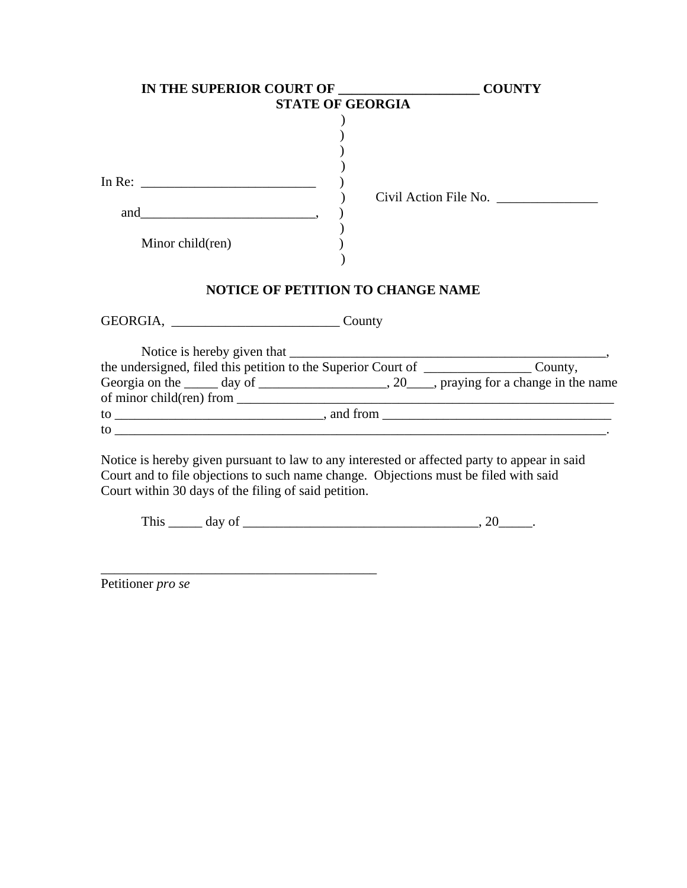|                                                                                                                                              | <b>STATE OF GEORGIA</b>                                                                                                                                                                                                                                                                                                                                                                                                                                                                                 |
|----------------------------------------------------------------------------------------------------------------------------------------------|---------------------------------------------------------------------------------------------------------------------------------------------------------------------------------------------------------------------------------------------------------------------------------------------------------------------------------------------------------------------------------------------------------------------------------------------------------------------------------------------------------|
| In Re: $\frac{1}{\sqrt{1-\frac{1}{2}} \cdot \frac{1}{2}}$<br>$and \qquad \qquad \longrightarrow$<br>Minor child(ren)                         | Civil Action File No.                                                                                                                                                                                                                                                                                                                                                                                                                                                                                   |
|                                                                                                                                              | <b>NOTICE OF PETITION TO CHANGE NAME</b>                                                                                                                                                                                                                                                                                                                                                                                                                                                                |
|                                                                                                                                              | the undersigned, filed this petition to the Superior Court of __________________County,                                                                                                                                                                                                                                                                                                                                                                                                                 |
|                                                                                                                                              |                                                                                                                                                                                                                                                                                                                                                                                                                                                                                                         |
|                                                                                                                                              | of minor child(ren) from<br>$\overline{\text{to}}$ $\overline{\text{to}}$ $\overline{\text{to}}$ $\overline{\text{to}}$ $\overline{\text{to}}$ $\overline{\text{to}}$ $\overline{\text{to}}$ $\overline{\text{to}}$ $\overline{\text{to}}$ $\overline{\text{to}}$ $\overline{\text{to}}$ $\overline{\text{to}}$ $\overline{\text{to}}$ $\overline{\text{to}}$ $\overline{\text{to}}$ $\overline{\text{to}}$ $\overline{\text{to}}$ $\overline{\text{to}}$ $\overline{\text{to}}$ $\overline{\text{to}}$ |
| Court and to file objections to such name change. Objections must be filed with said<br>Court within 30 days of the filing of said petition. | Notice is hereby given pursuant to law to any interested or affected party to appear in said<br>This $\_\_\_$ day of $\_\_\_\_\_\_\_$ . 20 $\_\_\_\_\_$ .                                                                                                                                                                                                                                                                                                                                               |

Petitioner *pro se*

\_\_\_\_\_\_\_\_\_\_\_\_\_\_\_\_\_\_\_\_\_\_\_\_\_\_\_\_\_\_\_\_\_\_\_\_\_\_\_\_\_